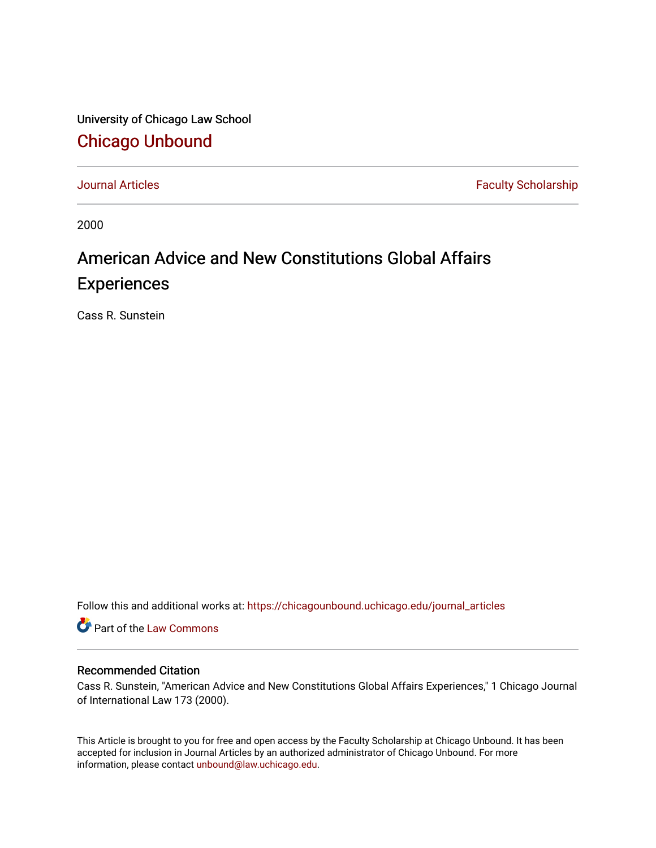University of Chicago Law School [Chicago Unbound](https://chicagounbound.uchicago.edu/)

[Journal Articles](https://chicagounbound.uchicago.edu/journal_articles) **Faculty Scholarship Faculty Scholarship** 

2000

# American Advice and New Constitutions Global Affairs **Experiences**

Cass R. Sunstein

Follow this and additional works at: [https://chicagounbound.uchicago.edu/journal\\_articles](https://chicagounbound.uchicago.edu/journal_articles?utm_source=chicagounbound.uchicago.edu%2Fjournal_articles%2F8287&utm_medium=PDF&utm_campaign=PDFCoverPages) 

**C** Part of the [Law Commons](http://network.bepress.com/hgg/discipline/578?utm_source=chicagounbound.uchicago.edu%2Fjournal_articles%2F8287&utm_medium=PDF&utm_campaign=PDFCoverPages)

#### Recommended Citation

Cass R. Sunstein, "American Advice and New Constitutions Global Affairs Experiences," 1 Chicago Journal of International Law 173 (2000).

This Article is brought to you for free and open access by the Faculty Scholarship at Chicago Unbound. It has been accepted for inclusion in Journal Articles by an authorized administrator of Chicago Unbound. For more information, please contact [unbound@law.uchicago.edu](mailto:unbound@law.uchicago.edu).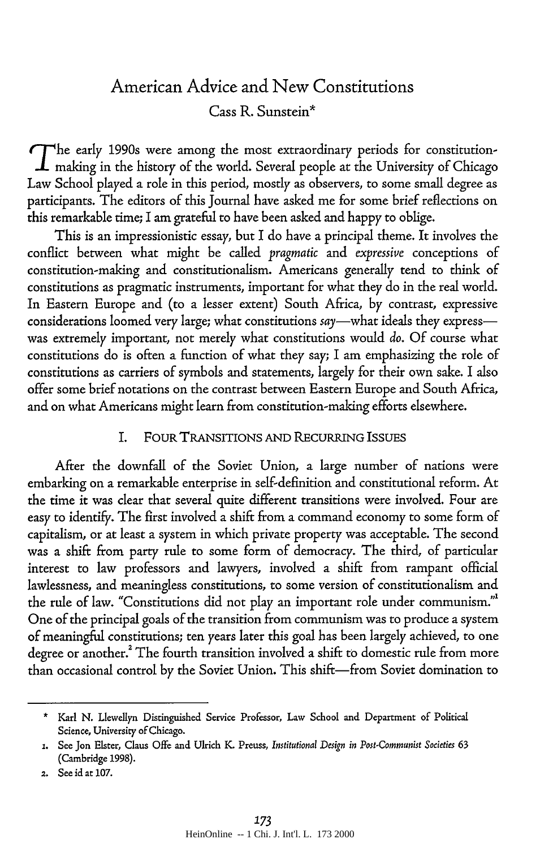## American Advice and New Constitutions Cass R. Sunstein\*

The early 1990s were among the most extraordinary periods for constitution- $\boldsymbol{\perp}$  making in the history of the world. Several people at the University of Chicago Law School played a role in this period, mostly as observers, to some small degree as participants. The editors of this Journal have asked me for some brief reflections on this remarkable time; I am grateful to have been asked and happy to oblige.

This is an impressionistic essay, but I do have a principal theme. It involves the conflict between what might be called *pragmatic* and *expressive* conceptions of constitution-making and constitutionalism. Americans generally tend to think of constitutions as pragmatic instruments, important for what they do in the real world. In Eastern Europe and (to a lesser extent) South Africa, by contrast, expressive considerations loomed very large; what constitutions say-what ideals they expresswas extremely important, not merely what constitutions would *do.* Of course what constitutions do is often a function of what they say; I am emphasizing the role of constitutions as carriers of symbols and statements, largely for their own sake. I also offer some brief notations on the contrast between Eastern Europe and South Africa, and on what Americans might learn from constitution-making efforts elsewhere.

#### I. FOUR TRANSITIONS AND RECURRING ISSUES

After the downfall of the Soviet Union, a large number of nations were embarking on a remarkable enterprise in self-definition and constitutional reform. At the time it was clear that several quite different transitions were involved. Four are easy to identify. The first involved a shift from a command economy to some form of capitalism, or at least a system in which private property was acceptable. The second was a shift from party rule to some form of democracy. The third, of particular interest to law professors and lawyers, involved a shift from rampant official lawlessness, and meaningless constitutions, to some version of constitutionalism and the rule of law. "Constitutions did not play an important role under communism."' One of the principal goals of the transition from communism was to produce a system of meaningful constitutions; ten years later this goal has been largely achieved, to one degree or another.<sup>2</sup> The fourth transition involved a shift to domestic rule from more than occasional control by the Soviet Union. This shift-from Soviet domination to

<sup>•</sup>Karl **N.** Llewellyn Distinguished Service Professor, Law School and Department of Political Science, University of Chicago.

**<sup>1.</sup>** See **Jon** Elster, Claus Offe and Ulrich **K.** Preuss, *Institutional Design in Post-Communist Societies 63* (Cambridge **1998).**

<sup>2.</sup> See id at **107.**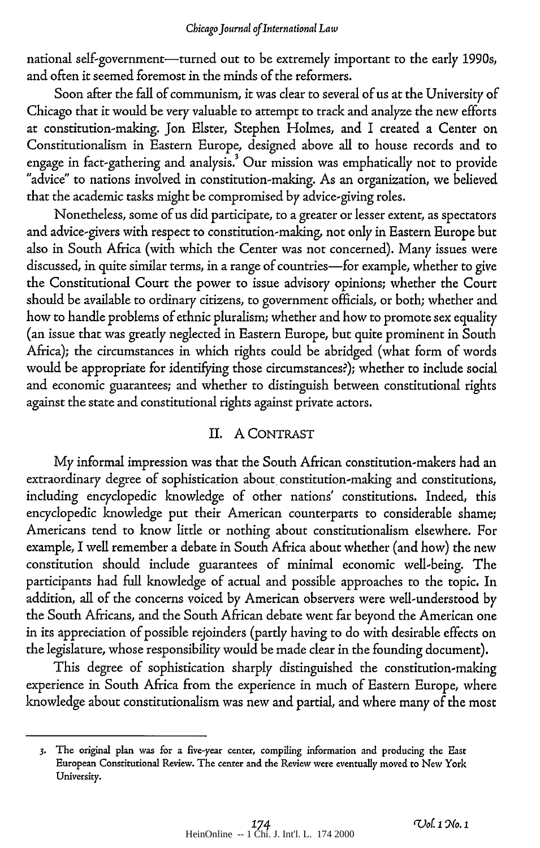#### *Chicago Journal of International Law*

national self-government-turned out to be extremely important to the early 1990s, and often it seemed foremost in the minds of the reformers.

Soon after the fall of communism, it was clear to several of us at the University of Chicago that it would be very valuable to attempt to track and analyze the new efforts at constitution-making. Jon Elster, Stephen Holmes, and I created a Center on Constitutionalism in Eastern Europe, designed above all to house records and to engage in fact-gathering and analysis.' Our mission was emphatically not to provide "advice" to nations involved in constitution-making. As an organization, we believed that the academic tasks might be compromised by advice-giving roles.

Nonetheless, some of us did participate, to a greater or lesser extent, as spectators and advice-givers with respect to constitution-making, not only in Eastern Europe but also in South Africa (with which the Center was not concerned). Many issues were discussed, in quite similar terms, in a range of countries-for example, whether to give the Constitutional Court the power to issue advisory opinions; whether the Court should be available to ordinary citizens, to government officials, or both; whether and how to handle problems of ethnic pluralism; whether and how to promote sex equality (an issue that was greatly neglected in Eastern Europe, but quite prominent in South Africa); the circumstances in which rights could be abridged (what form of words would be appropriate for identifying those circumstances?); whether to include social and economic guarantees; and whether to distinguish between constitutional rights against the state and constitutional rights against private actors.

#### II. A CONTRAST

My informal impression was that the South African constitution-makers had an extraordinary degree of sophistication about constitution-making and constitutions, including encyclopedic knowledge of other nations' constitutions. Indeed, this encyclopedic knowledge put their American counterparts to considerable shame; Americans tend to know little or nothing about constitutionalism elsewhere. For example, I well remember a debate in South Africa about whether (and how) the new constitution should include guarantees of minimal economic well-being. The participants had full knowledge of actual and possible approaches to the topic. In addition, all of the concerns voiced by American observers were well-understood by the South Africans, and the South African debate went far beyond the American one in its appreciation of possible rejoinders (partly having to do with desirable effects on the legislature, whose responsibility would be made clear in the founding document).

This degree of sophistication sharply distinguished the constitution-making experience in South Africa from the experience in much of Eastern Europe, where knowledge about constitutionalism was new and partial, and where many of the most

**<sup>3.</sup>** The original plan was for a five-year center, compiling information and producing the East European Constitutional Review. **The** center and the Review were eventually **moved to** New York University.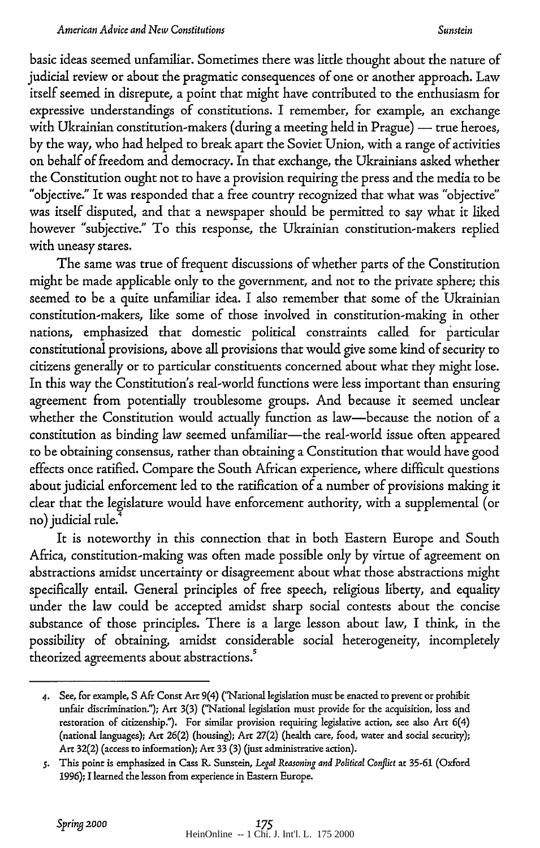#### *Sunstein*

basic ideas seemed unfamiliar. Sometimes there was little thought about the nature of judicial review or about the pragmatic consequences of one or another approach. Law itself seemed in disrepute, a point that might have contributed to the enthusiasm for expressive understandings of constitutions. I remember, for example, an exchange with Ukrainian constitution-makers (during a meeting held in Prague) - true heroes, by the way, who had helped to break apart the Soviet Union, with a range of activities on behalf of freedom and democracy. In that exchange, the Ukrainians asked whether the Constitution ought not to have a provision requiring the press and the media to be "objective." It was responded that a free country recognized that what was "objective" was itself disputed, and that a newspaper should be permitted to say what it liked however "subjective." To this response, the Ukrainian constitution-makers replied with uneasy stares.

The same was true of frequent discussions of whether parts of the Constitution might be made applicable only to the government, and not to the private sphere; this seemed to be a quite unfamiliar idea. I also remember that some of the Ukrainian constitution-makers, like some of those involved in constitution-making in other nations, emphasized that domestic political constraints called for particular constitutional provisions, above all provisions that would give some kind of security to citizens generally or to particular constituents concerned about what they might lose. In this way the Constitution's real-world functions were less important than ensuring agreement from potentially troublesome groups. And because it seemed unclear whether the Constitution would actually function as law-because the notion of a constitution as binding law seemed unfamiliar-the real-world issue often appeared to be obtaining consensus, rather than obtaining a Constitution that would have good effects once ratified. Compare the South African experience, where difficult questions about judicial enforcement led to the ratification of a number of provisions making it clear that the legislature would have enforcement authority, with a supplemental (or no) judicial rule.<sup>4</sup>

It is noteworthy in this connection that in both Eastern Europe and South Africa, constitution-making was often made possible only by virtue of agreement on abstractions amidst uncertainty or disagreement about what those abstractions might specifically entail. General principles of free speech, religious liberty, and equality under the law could be accepted amidst sharp social contests about the concise substance of those principles. There is a large lesson about law, I think, in the possibility of obtaining, amidst considerable social heterogeneity, incompletely theorized agreements about abstractions.<sup>5</sup>

*<sup>4.</sup>* See, for example, **S** Afr Consr Art 9(4) ("National legislation must be enacted to prevent or prohibit unfair discrimination."); Art **3(3)** ("National legislation must provide for the acquisition, loss and restoration of citizenship."). For similar provision requiring legislative action, see also Art 6(4) (national languages); Art **26(2)** (housing); **Art 27(2)** (health care, food, water and social security); Art **32(2)** (access to information); Art **33** (3) **(just** administrative action).

*s.* This point is emphasized in Cass **EL** Sunstein, *Legal Reasoning and Political Conflict* at 35-61 (Oxford 1996); I learned the lesson from experience in Eastern Europe.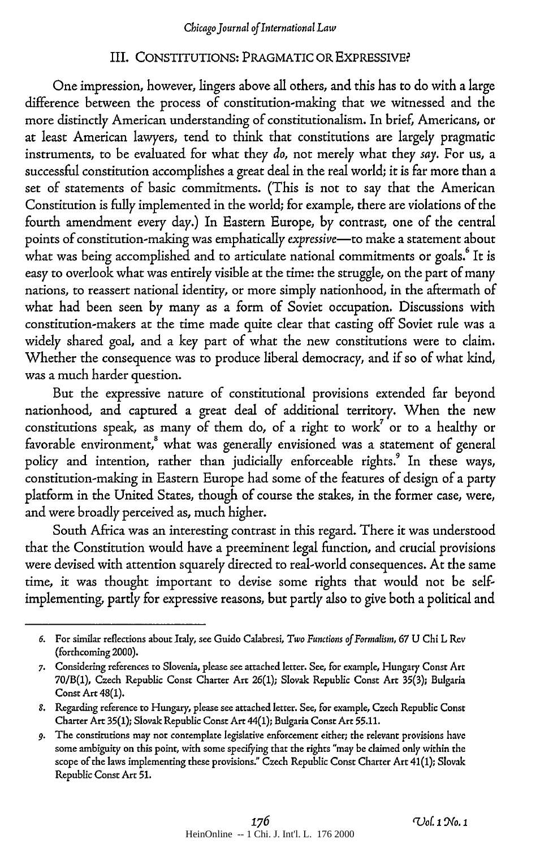#### III. CONSTITUTIONS: PRAGMATIC OR EXPRESSIVE,

One impression, however, lingers above all others, and this has to do with a large difference between the process of constitution-making that we witnessed and the more distinctly American understanding of constitutionalism. In brief, Americans, or at least American lawyers, tend to think that constitutions are largely pragmatic instruments, to be evaluated for what they *do,* not merely what they *say.* For us, a successful constitution accomplishes a great deal in the real world; it is far more than a set of statements of basic commitments. (This is not to say that the American Constitution is fuly implemented in the world; for example, there are violations of the fourth amendment every day.) In Eastern Europe, by contrast, one of the central points of constitution-making was emphatically *expressive-to* make a statement about what was being accomplished and to articulate national commitments or goals.<sup>6</sup> It is easy to overlook what was entirely visible at the time: the struggle, on the part of many nations, to reassert national identity, or more simply nationhood, in the aftermath of what had been seen by many as a form of Soviet occupation. Discussions with constitution-makers at the time made quite clear that casting off Soviet rule was a widely shared goal, and a key part of what the new constitutions were to claim. Whether the consequence was to produce liberal democracy, and if so of what kind, was a much harder question.

But the expressive nature of constitutional provisions extended far beyond nationhood, and captured a great deal of additional territory. When the new constitutions speak, as many of them do, of a right to work<sup>7</sup> or to a healthy or favorable environment,<sup>8</sup> what was generally envisioned was a statement of general policy and intention, rather than judicially enforceable rights.<sup>9</sup> In these ways, constitution-making in Eastern Europe had some of the features of design of a party platform in the United States, though of course the stakes, in the former case, were, and were broadly perceived as, much higher.

South Africa was an interesting contrast in this regard. There it was understood that the Constitution would have a preeminent legal function, and crucial provisions were devised with attention squarely directed to real-world consequences. At the same time, it was thought important to devise some rights that would not be selfimplementing, partly for expressive reasons, but partly also to give both a political and

*<sup>6.</sup>* For similar reflections about Italy, see Guido Calabresi, *Two Functions of Formalism, 67* **U Chi** L Rev (forthcoming 2000).

*<sup>7.</sup>* Considering references **to** Slovenia, please see attached letter. **See, for** example, Hungary Const Art 70/B(1), Czech Republic Const Charter Art 26(1); Slovak Republic Const Art **35(3);** Bulgaria Const Art 48(1).

*<sup>8.</sup>* Regarding reference **to** Hungary, please see attached letter. See, for example, Czech Republic Const Charter Art **35(1);** Slovak Republic Const Art 44(1); Bulgaria Const Art 55.11.

*<sup>9.</sup>* The constitutions may not contemplate legislative enforcement either; the relevant provisions have some ambiguity on this point, with some specifying that the rights "may be claimed only within the scope of the laws implementing these provisions." Czech Republic Const Charter Art 41(1); Slovak Republic Const Art **51.**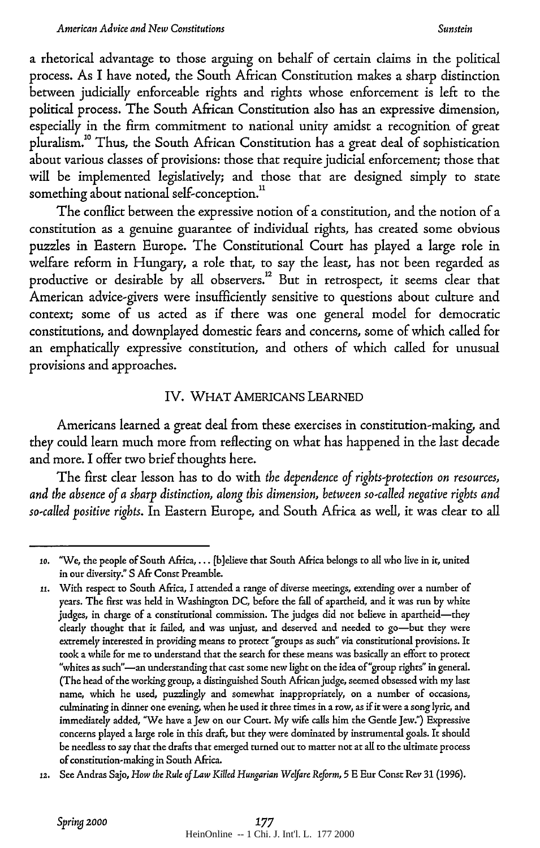a rhetorical advantage to those arguing on behalf of certain claims in the political process. As I have noted, the South African Constitution makes a sharp distinction between judicially enforceable rights and rights whose enforcement is left to the political process. The South African Constitution also has an expressive dimension, especially in the firm commitment to national unity amidst a recognition of great pluralism."0 Thus, the South African Constitution has a great deal of sophistication about various classes of provisions: those that require judicial enforcement; those that will be implemented legislatively; and those that are designed simply to state something about national self-conception."

The conflict between the expressive notion of a constitution, and the notion of a constitution as a genuine guarantee of individual rights, has created some obvious puzzles in Eastern Europe. The Constitutional Court has played a large role in welfare reform in Hungary, a role that, to say the least, has not been regarded as productive or desirable by all observers.<sup>12</sup> But in retrospect, it seems clear that American advice-givers were insufficiently sensitive to questions about culture and context; some of us acted as if there was one general model for democratic constitutions, and downplayed domestic fears and concerns, some of which called for an emphatically expressive constitution, and others of which called for unusual provisions and approaches.

#### IV. WHAT AMERICANS **LEARNED**

Americans learned a great deal from these exercises in constitution-making, and they could learn much more from reflecting on what has happened in the last decade and more. I offer two brief thoughts here.

The first clear lesson has to do with *the dependence of rights-protection on resources, and the absence of a sharp distinction, along this dimension, between so-called negative rights and so-called positive rights.* In Eastern Europe, and South Africa as well, it was dear to all

**lo.** 'We, the people of South Africa **...** [b]elieve that South Africa belongs to all who live in **it,** united in our diversity." **S** Afr Const Preamble.

**<sup>11.</sup>** With respect to South Africa, I attended a range of diverse meetings, extending over a number of years. The first was held in Washington **DC,** before the fall of apartheid, and **it** was run **by** white judges, in charge of a constitutional commission. The judges did not believe in apartheid-they clearly thought that **it** failed, and was unjust, and deserved and needed to go-but they were extremely interested in providing means to protect "groups as **such"** via constitutional provisions. It took a while for me to understand that the search for these means was basically an effort to protect "whites as such"-an understanding that cast some new light on the idea of "group rights" in general. (The head of the working group, a distinguished South Africanjudge, seemed obsessed with my last name, which he used, puzzlingly and somewhat inappropriately, on a number **of** occasions, culminating in dinner one evening, when he used **it** three times in a row, as if **it** were a song lyric, and immediately added, "We have a Jew on our Court. **My** wife calls him the Gentle Jew.") Expressive concerns played a large role in this draft, but they were dominated **by** instrumental goals. It should be needless to say that the drafts that emerged turned out to matter **not** at all to the ultimate process of constitution-making in South Africa.

<sup>12.</sup> See Andras Sajo, *How the Rule of Law Killed Hungarian Welfare Reform,* **5 E** Eur Const Rev **31 (1996).**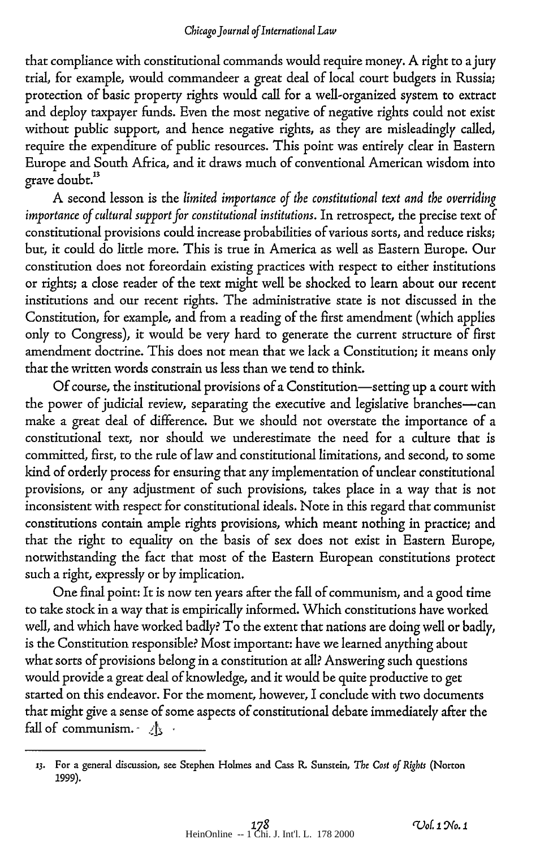that compliance with constitutional commands would require money. A right to ajury trial, for example, would commandeer a great deal of local court budgets in Russia; protection of basic property rights would call for a well-organized system to extract and deploy taxpayer funds. Even the most negative of negative rights could not exist without public support, and hence negative rights, as they are misleadingly called, require the expenditure of public resources. This point was entirely clear in Eastern Europe and South Africa, and it draws much of conventional American wisdom into grave doubt.<sup>13</sup>

A second lesson is the *limited importance of the constitutional text and the overriding importance of cultural support for constitutional institutions.* In retrospect, the precise text of constitutional provisions could increase probabilities of various sorts, and reduce risks; but, it could do little more. This is true in America as well as Eastern Europe. Our constitution does not foreordain existing practices with respect to either institutions or rights; a close reader of the text might well be shocked to learn about our recent institutions and our recent rights. The administrative state is not discussed in the Constitution, for example, and from a reading of the first amendment (which applies only to Congress), it would be very hard to generate the current structure of first amendment doctrine. This does not mean that we lack a Constitution; it means only that the written words constrain us less than we tend to think.

Of course, the institutional provisions of a Constitution-setting up a court with the power of judicial review, separating the executive and legislative branches-can make a great deal of difference. But we should not overstate the importance of a constitutional text, nor should we underestimate the need for a culture that is committed, first, to the rule of law and constitutional limitations, and second, to some kind of orderly process for ensuring that any implementation of unclear constitutional provisions, or any adjustment of such provisions, takes place in a way that is not inconsistent with respect for constitutional ideals. Note in this regard that communist constitutions contain ample rights provisions, which meant nothing in practice; and that the right to equality on the basis of sex does not exist in Eastern Europe, notwithstanding the fact that most of the Eastern European constitutions protect such a right, expressly or by implication.

One final point: It is now ten years after the fall of communism, and a good time to take stock in a way that is empirically informed. Which constitutions have worked well, and which have worked badly? To the extent that nations are doing well or badly, is the Constitution responsible? Most important: have we learned anything about what sorts of provisions belong in a constitution at all? Answering such questions would provide a great deal of knowledge, and it would be quite productive to get started on this endeavor. For the moment, however, I conclude with two documents that might give a sense of some aspects of constitutional debate immediately after the fall of communism. **-b -**

**<sup>13.</sup>** For a general discussion, see Stephen Holmes and Cass *R.* Sunstein, The *Cost of Rights* (Norton **1999).**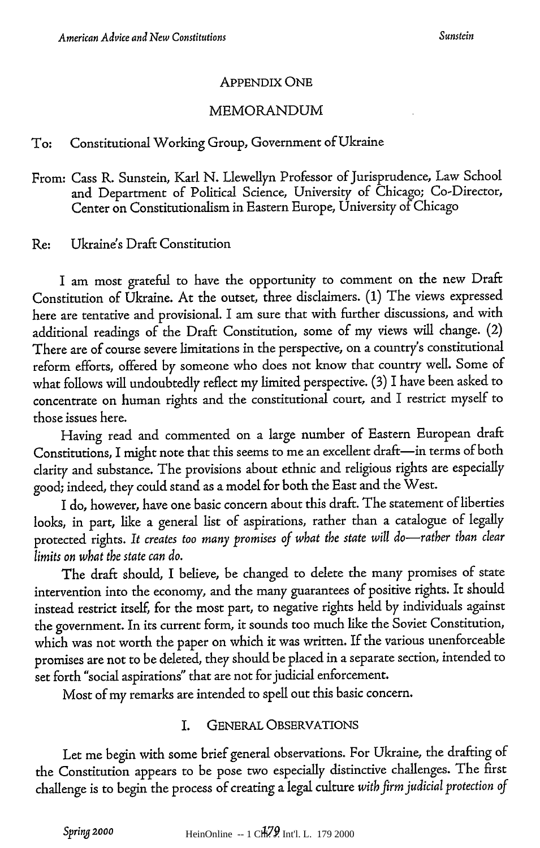#### APPENDIX ONE

#### MEMORANDUM

#### To: Constitutional Working Group, Government of Ukraine

From: Cass R. Sunstein, Karl N. Llewellyn Professor of Jurisprudence, Law School and Department of Political Science, University of Chicago; Co-Director, Center on Constitutionalism in Eastern Europe, University of Chicago

Re: Ukraine's Draft Constitution

I am most grateful to have the opportunity to comment on the new Draft Constitution of Ukraine. At the outset, three disclaimers. **(1)** The views expressed here are tentative and provisional. I am sure that with further discussions, and with additional readings of the Draft Constitution, some of my views will change. (2) There are of course severe limitations in the perspective, on a country's constitutional reform efforts, offered by someone who does not know that country well. Some of what follows will undoubtedly reflect my limited perspective. (3) I have been asked to concentrate on human rights and the constitutional court, and I restrict myself to those issues here.

Having read and commented on a large number of Eastern European draft Constitutions, I might note that this seems to me an excellent draft-in terms of both clarity and substance. The provisions about ethnic and religious rights are especially good; indeed, they could stand as a model for both the East and the West.

I do, however, have one basic concern about this draft. The statement of liberties looks, in part, like a general list of aspirations, rather than a catalogue of legally protected rights. It creates too many promises of what the state will do-rather than clear *limits on what the state can do.*

The draft should, I believe, be changed to delete the many promises of state intervention into the economy, and the many guarantees of positive rights. It should instead restrict itself, for the most part, to negative rights held by individuals against the government. In its current form, it sounds too much like the Soviet Constitution, which was not worth the paper on which it was written. If the various unenforceable promises are not to be deleted, they should be placed in a separate section, intended to set forth "social aspirations" that are not for judicial enforcement.

Most of my remarks are intended to spell out this basic concern.

## I. GENERAL OBSERVATIONS

Let me begin with some brief general observations. For Ukraine, the drafting of the Constitution appears to be pose two especially distinctive challenges. The first challenge is to begin the process of creating a legal culture *witb firm judicial protection of*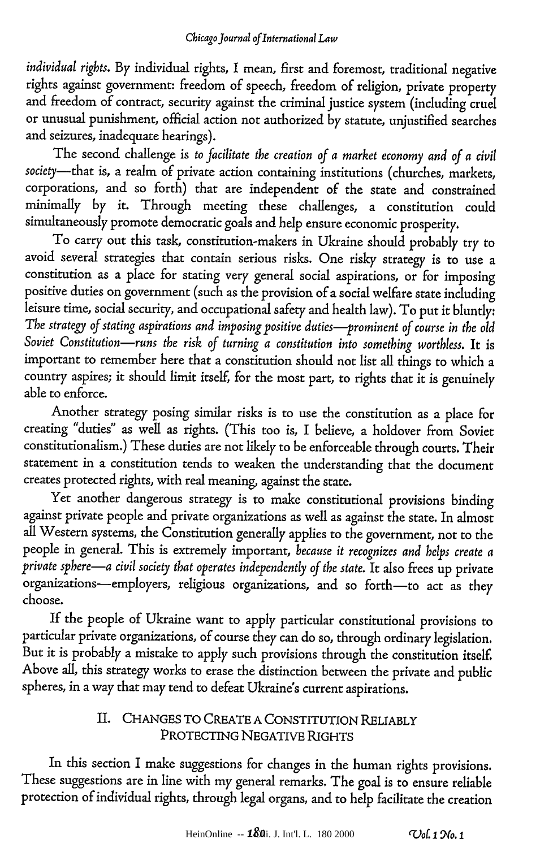*individual rights.* By individual rights, I mean, first and foremost, traditional negative rights against government: freedom of speech, freedom of religion, private property and freedom of contract, security against the criminal justice system (including cruel or unusual punishment, official action not authorized by statute, unjustified searches and seizures, inadequate hearings).

The second challenge is *to facilitate the creation of a market economy and of a civil society-that* is, a realm of private action containing institutions (churches, markets, corporations, and so forth) that are independent of the state and constrained minimally by it. Through meeting these challenges, a constitution could simultaneously promote democratic goals and help ensure economic prosperity.

To carry out this task, constitution-makers in Ukraine should probably try to avoid several strategies that contain serious risks. One risky strategy is to use a constitution as a place for stating very general social aspirations, or for imposing positive duties on government (such as the provision of a social welfare state including leisure time, social security, and occupational safety and health law). To put it bluntly: The strategy of stating aspirations and imposing positive duties-prominent of course in the old *Soviet Constitution-runs the risk of turning a constitution into something worthless.* It is important to remember here that a constitution should not list all things to which a country aspires; it should limit itself, for the most part, to rights that it is genuinely able to enforce.

Another strategy posing similar risks is to use the constitution as a place for creating "duties" as well as rights. (This too is, I believe, a holdover from Soviet constitutionalism.) These duties are not likely to be enforceable through courts. Their statement in a constitution tends to weaken the understanding that the document creates protected rights, with real meaning, against the state.

Yet another dangerous strategy is to make constitutional provisions binding against private people and private organizations as well as against the state. In almost all Western systems, the Constitution generally applies to the government, not to the people in general. This is extremely important, *because it recognizes and helps create a private spbere-a civil society that operates independently of the state.* It also frees up private organizations-employers, religious organizations, and so forth-to act as they choose.

If the people of Ukraine want to apply particular constitutional provisions to particular private organizations, of course they can do so, through ordinary legislation. But it is probably a mistake to apply such provisions through the constitution itself. Above all, this strategy works to erase the distinction between the private and public spheres, in a way that may tend to defeat Ukraine's current aspirations.

## II. CHANGES TO CREATE A CONSTITUTION RELIABLY PROTECTING NEGATIVE RIGHTS

In this section I make suggestions for changes in the human rights provisions. These suggestions are in line with my general remarks. The goal is to ensure reliable protection of individual rights, through legal organs, and to help facilitate the creation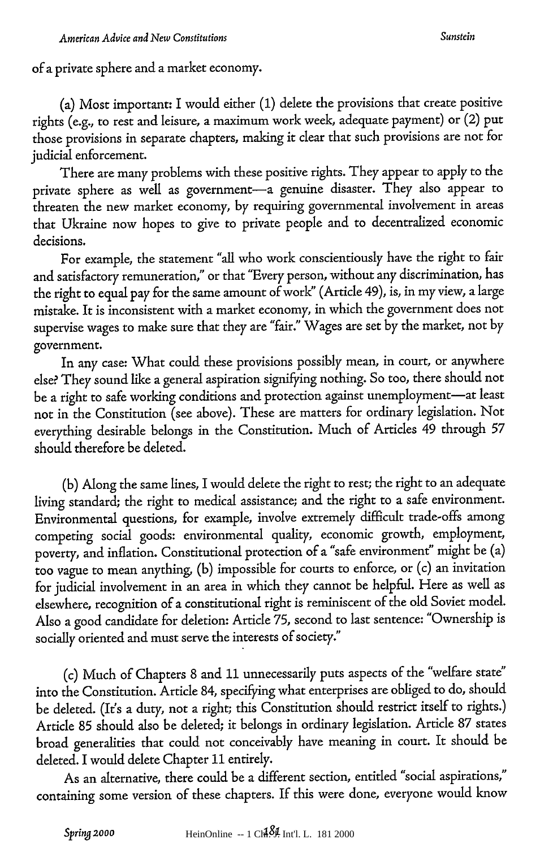of a private sphere and a market economy.

(a) Most important: I would either (1) delete the provisions that create positive rights (e.g., to rest and leisure, a maximum work week, adequate payment) or (2) put those provisions in separate chapters, making it clear that such provisions are not for judicial enforcement.

There are many problems with these positive rights. They appear to apply to the private sphere as well as government-a genuine disaster. They also appear to threaten the new market economy, by requiring governmental involvement in areas that Ukraine now hopes to give to private people and to decentralized economic decisions.

For example, the statement "all who work conscientiously have the right to fair and satisfactory remuneration," or that "Every person, without any discrimination, has the right to equal pay for the same amount of work" (Article 49), is, in my view, a large mistake. It is inconsistent with a market economy, in which the government does not supervise wages to make sure that they are "fair." Wages are set by the market, not by government.

In any case: What could these provisions possibly mean, in court, or anywhere else? They sound like a general aspiration signifying nothing. So too, there should not be a right to safe working conditions and protection against unemployment-at least not in the Constitution (see above). These are matters for ordinary legislation. Not everything desirable belongs in the Constitution. Much of Articles 49 through **<sup>57</sup>** should therefore be deleted.

(b) Along the same lines, I would delete the right to rest; the right to an adequate living standard; the right to medical assistance; and the right to a safe environment. Environmental questions, for example, involve extremely difficult trade-offs among competing social goods: environmental quality, economic growth, employment, poverty, and inflation. Constitutional protection of a "safe environment" might be (a) too vague to mean anything, (b) impossible for courts to enforce, or (c) an invitation for judicial involvement in an area in which they cannot be helpful. Here as well as elsewhere, recognition of a constitutional right is reminiscent of the old Soviet model. Also a good candidate for deletion: Article *75,* second to last sentence: "Ownership is socially oriented and must serve the interests of society."

(c) Much of Chapters 8 and **11** unnecessarily puts aspects of the "welfare state" into the Constitution. Article 84, specifying what enterprises are obliged to do, should be deleted. (It's a duty, not a right; this Constitution should restrict itself to rights.) Article 85 should also be deleted; it belongs in ordinary legislation. Article 87 states broad generalities that could not conceivably have meaning in court. It should be deleted. I would delete Chapter **11** entirely.

As an alternative, there could be a different section, entitled "social aspirations," containing some version of these chapters. If this were done, everyone would know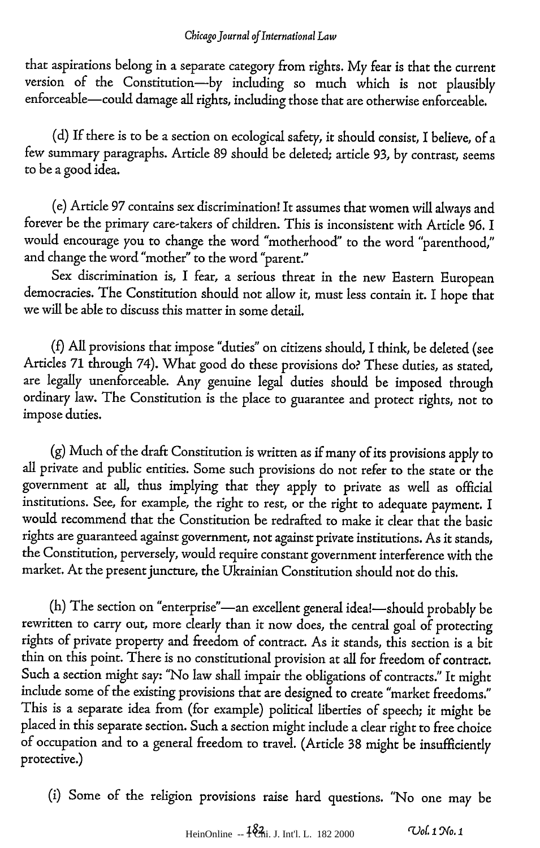that aspirations belong in a separate category from rights. My fear is that the current version of the Constitution-by including so much which is not plausibly enforceable-could damage all rights, including those that are otherwise enforceable.

(d) If there is to be a section on ecological safety, it should consist, I believe, of a few summary paragraphs. Article 89 should be deleted; article **93,** by contrast, seems to be a good idea.

(e) Article 97 contains sex discrimination! It assumes that women will always and forever be the primary care-takers of children. This is inconsistent with Article 96. I would encourage you to change the word "motherhood" to the word "parenthood," and change the word "mother" to the word "parent."

Sex discrimination is, I fear, a serious threat in the new Eastern European democracies. The Constitution should not allow it, must less contain it. I hope that we will be able to discuss this matter in some detail.

**(0** All provisions that impose "duties" on citizens should, I think, be deleted (see Articles 71 through 74). What good do these provisions do? These duties, as stated, are legally unenforceable. Any genuine legal duties should be imposed through ordinary law. The Constitution is the place to guarantee and protect rights, not to impose duties.

(g) Much of the draft Constitution is written as if many of its provisions apply to all private and public entities. Some such provisions do not refer to the state or the government at all, thus implying that they apply to private as well as official institutions. See, for example, the right to rest, or the right to adequate payment. I would recommend that the Constitution be redrafted to make it clear that the basic rights are guaranteed against government, not against private institutions. As it stands, the Constitution, perversely, would require constant government interference with the market. At the present juncture, the Ukrainian Constitution should not do this.

(h) The section on "enterprise"-an excellent general idea!-should probably be rewritten to carry out, more clearly than it now does, the central goal of protecting rights of private property and freedom of contract. As it stands, this section is a bit thin on this point. There is no constitutional provision at all for freedom of contract. Such a section might say: *'No* law shall impair the obligations of contracts." It might include some of the existing provisions that are designed to create "market freedoms." This is a separate idea from (for example) political liberties of speech; it might be placed in this separate section. Such a section might include a clear right to free choice of occupation and to a general freedom to travel. (Article **38** might be insufficiently protective.)

(i) Some of the religion provisions raise hard questions. "No one may be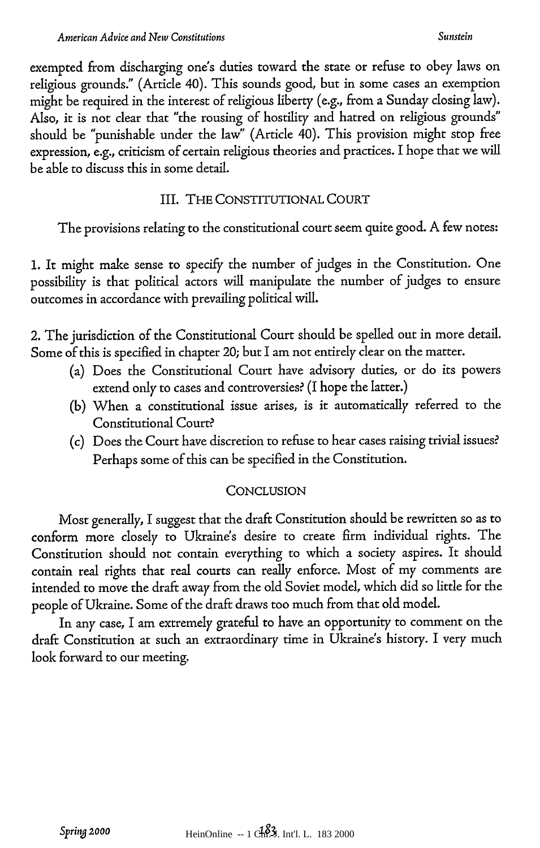exempted from discharging one's duties toward the state or refuse to obey laws on religious grounds." (Article 40). This sounds good, but in some cases an exemption might be required in the interest of religious liberty (e.g., from a Sunday closing law). Also, it is not clear that "the rousing of hostility and hatred on religious grounds" should be "punishable under the law" (Article 40). This provision might stop free expression, e.g., criticism of certain religious theories and practices. I hope that we will be able to discuss this in some detail.

## III. THE CONSTITUTIONAL COURT

The provisions relating to the constitutional court seem quite good. A few notes:

1. It might make sense to specify the number of judges in the Constitution. One possibility is that political actors will manipulate the number of judges to ensure outcomes in accordance with prevailing political will.

2. The jurisdiction of the Constitutional Court should be spelled out in more detail. Some of this is specified in chapter 20; but I am not entirely clear on the matter.

- (a) Does the Constitutional Court have advisory duties, or do its powers extend only to cases and controversies? (I hope the latter.)
- (b) When a constitutional issue arises, is it automatically referred to the Constitutional Court?
- (c) Does the Court have discretion to refuse to hear cases raising trivial issues? Perhaps some of this can be specified in the Constitution.

## **CONCLUSION**

Most generally, I suggest that the draft Constitution should be rewritten so as to conform more closely to Ukraine's desire to create firm individual rights. The Constitution should not contain everything to which a society aspires. It should contain real rights that real courts can really enforce. Most of my comments are intended to move the draft away from the old Soviet model, which did so little for the people of Ukraine. Some of the draft draws too much from that old model.

In any case, I am extremely grateful to have an opportunity to comment on the draft Constitution at such an extraordinary time in Ukraine's history. I very much look forward to our meeting.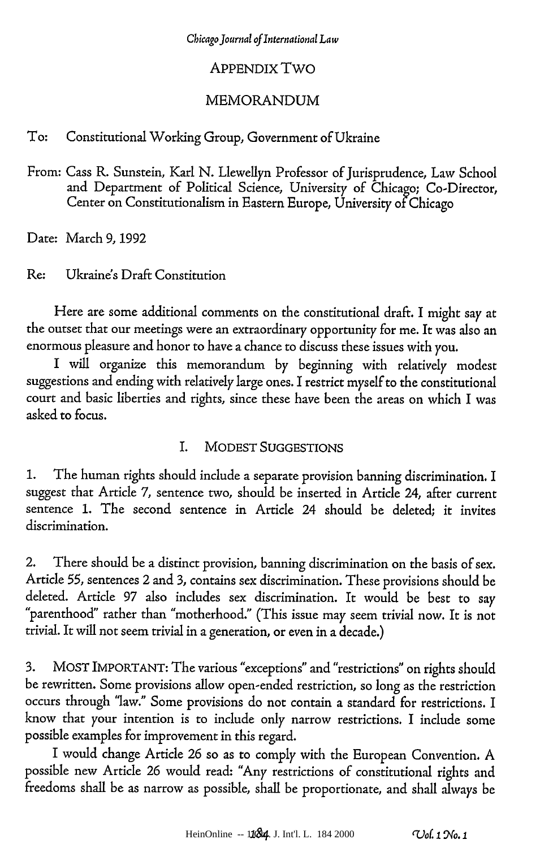## APPENDIX Two

## MEMORANDUM

To: Constitutional Working Group, Government of Ukraine

From: Cass R. Sunstein, Karl N. Llewellyn Professor of Jurisprudence, Law School and Department of Political Science, University of Chicago; Co-Director, Center on Constitutionalism in Eastern Europe, University of Chicago

Date: March 9, 1992

Re: Ukraine's Draft Constitution

Here are some additional comments on the constitutional draft. I might say at the outset that our meetings were an extraordinary opportunity for me. It was also an enormous pleasure and honor to have a chance to discuss these issues with you.

I will organize this memorandum by beginning with relatively modest suggestions and ending with relatively large ones. I restrict myself to the constitutional court and basic liberties and rights, since these have been the areas on which I was asked to focus.

## *L* MODEST SUGGESTIONS

1. The human rights should include a separate provision banning discrimination. I suggest that Article 7, sentence two, should be inserted in Article 24, after current sentence 1. The second sentence in Article 24 should be deleted; it invites discrimination.

2. There should be a distinct provision, banning discrimination on the basis of sex. Article *55,* sentences 2 and **3,** contains sex discrimination. These provisions should be deleted. Article 97 also includes sex discrimination. It would be best to say "parenthood" rather than "motherhood." (This issue may seem trivial now. It is not trivial. It will not seem trivial in a generation, or even in a decade.)

**3.** MOST IMPORTANT: The various "exceptions" and "restrictions" on rights should be rewritten. Some provisions allow open-ended restriction, so long as the restriction occurs through 'law." Some provisions do not contain a standard for restrictions. I know that your intention is to include only narrow restrictions. I include some possible examples for improvement in this regard.

I would change Article 26 so as to comply with the European Convention. A possible new Article 26 would read: "Any restrictions of constitutional rights and freedoms shall be as narrow as possible, shall be proportionate, and shall always be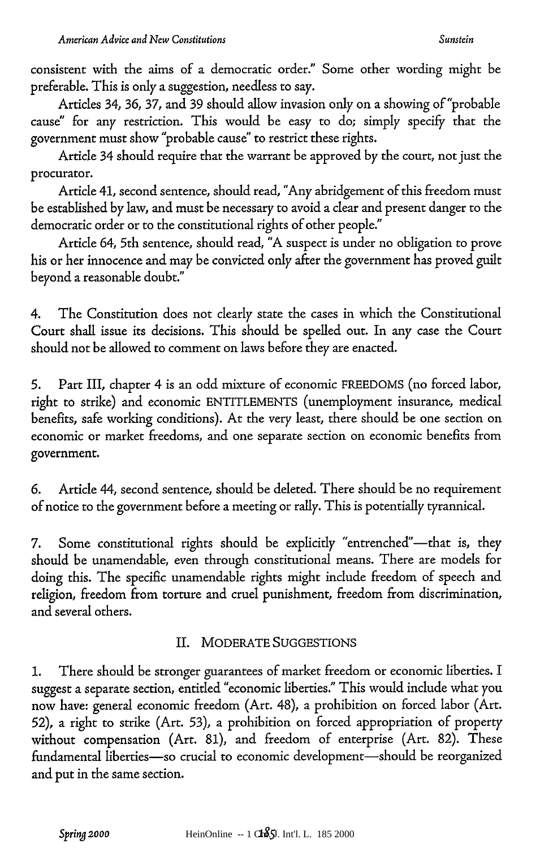consistent with the aims of a democratic order." Some other wording might be preferable. This is only a suggestion, needless to say.

Articles 34, 36, 37, and 39 should allow invasion only on a showing of "probable cause" for any restriction. This would be easy to do; simply specify that the government must show "probable cause" to restrict these rights.

Article 34 should require that the warrant be approved by the court, not just the procurator.

Article 41, second sentence, should read, "Any abridgement of this freedom must be established by law, and must be necessary to avoid a clear and present danger to the democratic order or to the constitutional rights of other people."

Article 64, 5th sentence, should read, "A suspect is under no obligation to prove his or her innocence and may be convicted only after the government has proved guilt beyond a reasonable doubt."

4. The Constitution does not dearly state the cases in which the Constitutional Court shall issue its decisions. This should be spelled out. In any case the Court should not be allowed to comment on laws before they are enacted.

5. Part III, chapter 4 is an odd mixture of economic FREEDOMS (no forced labor, right to strike) and economic ENTITLEMENTS (unemployment insurance, medical benefits, safe working conditions). At the very least, there should be one section on economic or market freedoms, and one separate section on economic benefits from government.

*6.* Article 44, second sentence, should be deleted. There should be no requirement of notice to the government before a meeting or rally. This is potentially tyrannical.

7. Some constitutional rights should be explicitly "entrenched"—that is, they should be unamendable, even through constitutional means. There are models for doing this. The specific unamendable rights might include freedom of speech and religion, freedom from torture and cruel punishment, freedom from discrimination, and several others.

## II. MODERATE SUGGESTIONS

1. There should be stronger guarantees of market freedom or economic liberties. I suggest a separate section, entitled "economic liberties." This would include what you now have: general economic freedom (Art. 48), a prohibition on forced labor (Art. 52), a right to strike (Art. 53), a prohibition on forced appropriation of property without compensation (Art. 81), and freedom of enterprise (Art. 82). These fundamental liberties-so crucial to economic development-should be reorganized and put in the same section.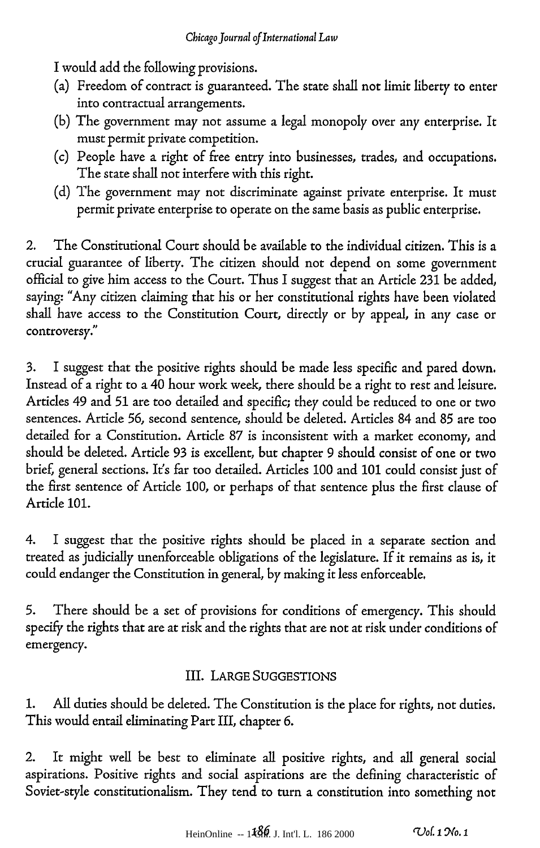I would add the following provisions.

- (a) Freedom of contract is guaranteed. The state shall not limit liberty to enter into contractual arrangements.
- (b) The government may not assume a legal monopoly over any enterprise. It must permit private competition.
- (c) People have a right of free entry into businesses, trades, and occupations. The state shall not interfere with this right.
- (d) The government may not discriminate against private enterprise. It must permit private enterprise to operate on the same basis as public enterprise.

2. The Constitutional Court should be available to the individual citizen. This is a crucial guarantee of liberty. The citizen should not depend on some government official to give him access to the Court. Thus I suggest that an Article 231 be added, saying: "Any citizen claiming that his or her constitutional rights have been violated shall have access to the Constitution Court, directly or by appeal, in any case or controversy."

3. I suggest that the positive rights should be made less specific and pared down. Instead of a right to a 40 hour work week, there should be a right to rest and leisure. Articles 49 and 51 are too detailed and specific; they could be reduced to one or two sentences. Article 56, second sentence, should be deleted. Articles 84 and 85 are too detailed for a Constitution. Article 87 is inconsistent with a market economy, and should be deleted. Article 93 is excellent, but chapter 9 should consist of one or two brief, general sections. It's far too detailed. Articles 100 and 101 could consist just of the first sentence of Article 100, or perhaps of that sentence plus the first clause of Article 101.

4. I suggest that the positive rights should be placed in a separate section and treated as judicially unenforceable obligations of the legislature. If it remains as is, it could endanger the Constitution in general, by making it less enforceable.

5. There should be a set of provisions for conditions of emergency. This should specify the rights that are at risk and the rights that are not at risk under conditions of emergency.

## III. LARGE SUGGESTIONS

1. All duties should be deleted. The Constitution is the place for rights, not duties. This would entail eliminating Part III, chapter 6.

2. It might well be best to eliminate all positive rights, and all general social aspirations. Positive rights and social aspirations are the defining characteristic of Soviet-style constitutionalism. They tend to turn a constitution into something not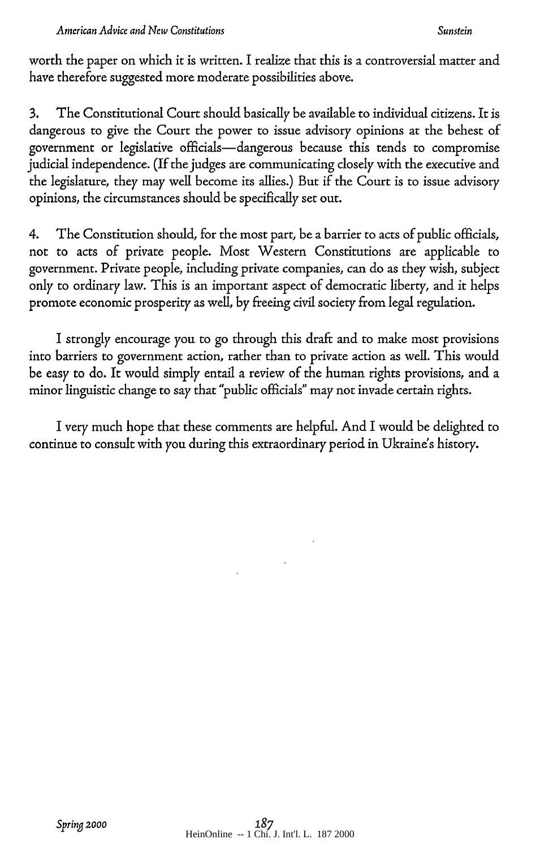#### *\$unstein*

worth the paper on which it is written. I realize that this is a controversial matter and have therefore suggested more moderate possibilities above.

3. The Constitutional Court should basically be available to individual citizens. It is dangerous to give the Court the power to issue advisory opinions at the behest of government or legislative officials-dangerous because this tends to compromise judicial independence. (If the judges are communicating closely with the executive and the legislature, they may well become its allies.) But if the Court is to issue advisory opinions, the circumstances should be specifically set out.

4. The Constitution should, for the most part, be a barrier to acts of public officials, not to acts of private people. Most Western Constitutions are applicable to government. Private people, including private companies, can do as they wish, subject only to ordinary law. This is an important aspect of democratic liberty, and it helps promote economic prosperity as well, by freeing civil society from legal regulation.

I strongly encourage you to go through this draft and to make most provisions into barriers to government action, rather than to private action as well. This would be easy to do. It would simply entail a review of the human rights provisions, and a minor linguistic change to say that "public officials" may not invade certain rights.

I very much hope that these comments are helpful. And I would be delighted to continue to consult with you during this extraordinary period in Ukraine's history.